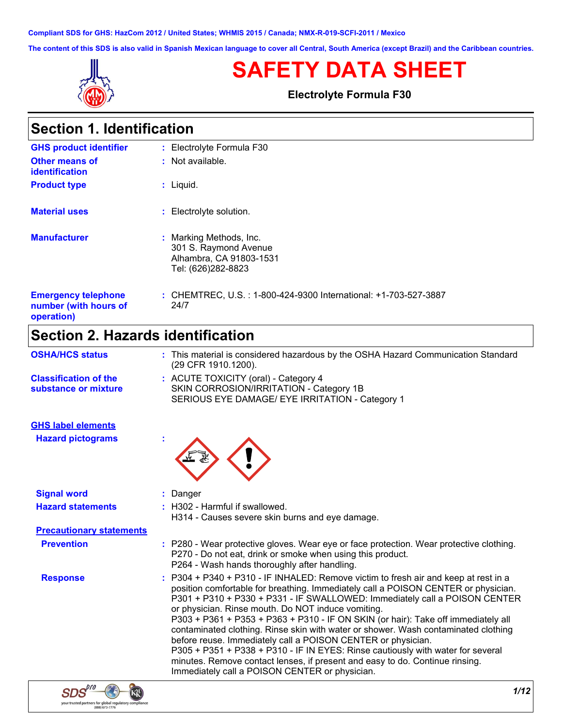**Compliant SDS for GHS: HazCom 2012 / United States; WHMIS 2015 / Canada; NMX-R-019-SCFI-2011 / Mexico**

**The content of this SDS is also valid in Spanish Mexican language to cover all Central, South America (except Brazil) and the Caribbean countries.**



# **SAFETY DATA SHEET**

**Electrolyte Formula F30**

| <b>Section 1. Identification</b> |  |
|----------------------------------|--|
|----------------------------------|--|

| <b>GHS product identifier</b>                                     | : Electrolyte Formula F30                                                                             |
|-------------------------------------------------------------------|-------------------------------------------------------------------------------------------------------|
| <b>Other means of</b><br>identification                           | : Not available.                                                                                      |
| <b>Product type</b>                                               | $:$ Liquid.                                                                                           |
| <b>Material uses</b>                                              | : Electrolyte solution.                                                                               |
| <b>Manufacturer</b>                                               | Marking Methods, Inc.<br>÷.<br>301 S. Raymond Avenue<br>Alhambra, CA 91803-1531<br>Tel: (626)282-8823 |
| <b>Emergency telephone</b><br>number (with hours of<br>operation) | : CHEMTREC, U.S.: 1-800-424-9300 International: +1-703-527-3887<br>24/7                               |

# **Section 2. Hazards identification**

| : This material is considered hazardous by the OSHA Hazard Communication Standard<br>(29 CFR 1910.1200).                                                                                                                                                                                                                                                                                                                                                                                                                                                                                                                                                                                                                                                                      |
|-------------------------------------------------------------------------------------------------------------------------------------------------------------------------------------------------------------------------------------------------------------------------------------------------------------------------------------------------------------------------------------------------------------------------------------------------------------------------------------------------------------------------------------------------------------------------------------------------------------------------------------------------------------------------------------------------------------------------------------------------------------------------------|
| : ACUTE TOXICITY (oral) - Category 4<br>SKIN CORROSION/IRRITATION - Category 1B<br>SERIOUS EYE DAMAGE/ EYE IRRITATION - Category 1                                                                                                                                                                                                                                                                                                                                                                                                                                                                                                                                                                                                                                            |
|                                                                                                                                                                                                                                                                                                                                                                                                                                                                                                                                                                                                                                                                                                                                                                               |
|                                                                                                                                                                                                                                                                                                                                                                                                                                                                                                                                                                                                                                                                                                                                                                               |
| : Danger                                                                                                                                                                                                                                                                                                                                                                                                                                                                                                                                                                                                                                                                                                                                                                      |
| : H302 - Harmful if swallowed.<br>H314 - Causes severe skin burns and eye damage.                                                                                                                                                                                                                                                                                                                                                                                                                                                                                                                                                                                                                                                                                             |
| <b>Precautionary statements</b>                                                                                                                                                                                                                                                                                                                                                                                                                                                                                                                                                                                                                                                                                                                                               |
| : P280 - Wear protective gloves. Wear eye or face protection. Wear protective clothing.<br>P270 - Do not eat, drink or smoke when using this product.<br>P264 - Wash hands thoroughly after handling.                                                                                                                                                                                                                                                                                                                                                                                                                                                                                                                                                                         |
| : P304 + P340 + P310 - IF INHALED: Remove victim to fresh air and keep at rest in a<br>position comfortable for breathing. Immediately call a POISON CENTER or physician.<br>P301 + P310 + P330 + P331 - IF SWALLOWED: Immediately call a POISON CENTER<br>or physician. Rinse mouth. Do NOT induce vomiting.<br>P303 + P361 + P353 + P363 + P310 - IF ON SKIN (or hair): Take off immediately all<br>contaminated clothing. Rinse skin with water or shower. Wash contaminated clothing<br>before reuse. Immediately call a POISON CENTER or physician.<br>P305 + P351 + P338 + P310 - IF IN EYES: Rinse cautiously with water for several<br>minutes. Remove contact lenses, if present and easy to do. Continue rinsing.<br>Immediately call a POISON CENTER or physician. |
|                                                                                                                                                                                                                                                                                                                                                                                                                                                                                                                                                                                                                                                                                                                                                                               |

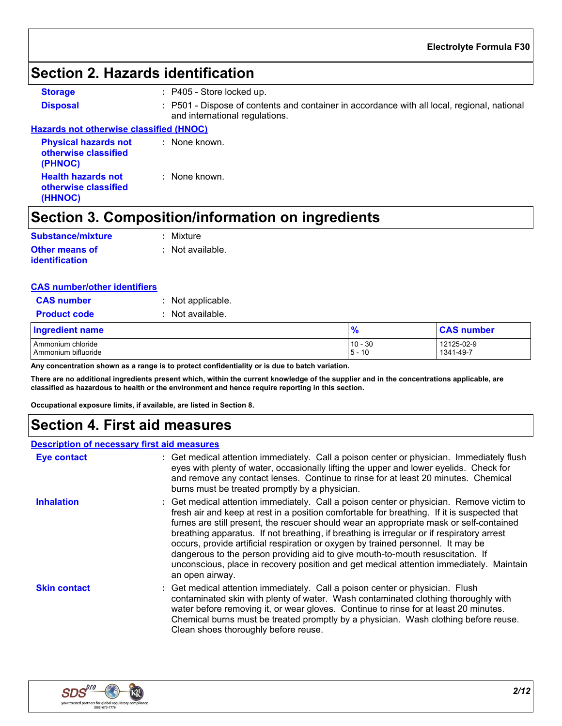## **Section 2. Hazards identification**

**Storage :** P405 - Store locked up.

**Disposal :** P501 - Dispose of contents and container in accordance with all local, regional, national and international regulations.

### **Hazards not otherwise classified (HNOC)**

| <b>Physical hazards not</b><br>otherwise classified<br>(PHNOC) | : None known. |
|----------------------------------------------------------------|---------------|
| <b>Health hazards not</b><br>otherwise classified<br>(HHNOC)   | : None known. |

# **Section 3. Composition/information on ingredients**

| <b>Substance/mixture</b>                       | : Mixture        |
|------------------------------------------------|------------------|
| <b>Other means of</b><br><u>identification</u> | : Not available. |

| <b>CAS number/other identifiers</b> |
|-------------------------------------|
|-------------------------------------|

| <b>CAS</b> number   | : Not applicable. |
|---------------------|-------------------|
| <b>Product code</b> | : Not available.  |

### Ammonium chloride 10 - 30 12125-02-9<br>Ammonium bifluoride 10 - 30 12125-02-9 1341-49-7 Ammonium bifluoride 5 - 10 1341-49-7 **Ingredient name % CAS number**

**Any concentration shown as a range is to protect confidentiality or is due to batch variation.**

**There are no additional ingredients present which, within the current knowledge of the supplier and in the concentrations applicable, are classified as hazardous to health or the environment and hence require reporting in this section.**

**Occupational exposure limits, if available, are listed in Section 8.**

## **Section 4. First aid measures**

#### **Description of necessary first aid measures**

| <b>Eye contact</b>  | : Get medical attention immediately. Call a poison center or physician. Immediately flush<br>eyes with plenty of water, occasionally lifting the upper and lower eyelids. Check for<br>and remove any contact lenses. Continue to rinse for at least 20 minutes. Chemical<br>burns must be treated promptly by a physician.                                                                                                                                                                                                                                                                                                                                        |
|---------------------|--------------------------------------------------------------------------------------------------------------------------------------------------------------------------------------------------------------------------------------------------------------------------------------------------------------------------------------------------------------------------------------------------------------------------------------------------------------------------------------------------------------------------------------------------------------------------------------------------------------------------------------------------------------------|
| <b>Inhalation</b>   | : Get medical attention immediately. Call a poison center or physician. Remove victim to<br>fresh air and keep at rest in a position comfortable for breathing. If it is suspected that<br>fumes are still present, the rescuer should wear an appropriate mask or self-contained<br>breathing apparatus. If not breathing, if breathing is irregular or if respiratory arrest<br>occurs, provide artificial respiration or oxygen by trained personnel. It may be<br>dangerous to the person providing aid to give mouth-to-mouth resuscitation. If<br>unconscious, place in recovery position and get medical attention immediately. Maintain<br>an open airway. |
| <b>Skin contact</b> | : Get medical attention immediately. Call a poison center or physician. Flush<br>contaminated skin with plenty of water. Wash contaminated clothing thoroughly with<br>water before removing it, or wear gloves. Continue to rinse for at least 20 minutes.<br>Chemical burns must be treated promptly by a physician. Wash clothing before reuse.<br>Clean shoes thoroughly before reuse.                                                                                                                                                                                                                                                                         |

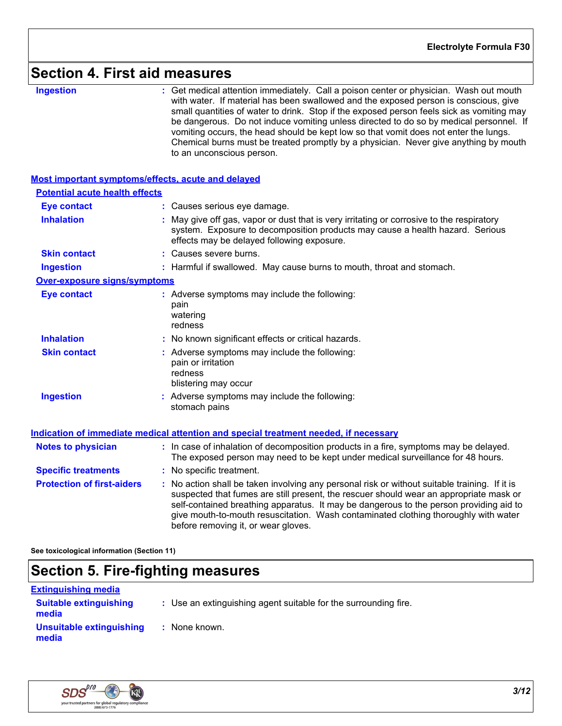## **Section 4. First aid measures**

**Ingestion 1988 : Get medical attention immediately. Call a poison center or physician. Wash out mouth <b>independing** with water. If material has been swallowed and the exposed person is conscious, give small quantities of water to drink. Stop if the exposed person feels sick as vomiting may be dangerous. Do not induce vomiting unless directed to do so by medical personnel. If vomiting occurs, the head should be kept low so that vomit does not enter the lungs. Chemical burns must be treated promptly by a physician. Never give anything by mouth to an unconscious person.

| <b>Most important symptoms/effects, acute and delayed</b> |                                                                                                                                                                                                                                                                                                                                                                                                                 |
|-----------------------------------------------------------|-----------------------------------------------------------------------------------------------------------------------------------------------------------------------------------------------------------------------------------------------------------------------------------------------------------------------------------------------------------------------------------------------------------------|
| <b>Potential acute health effects</b>                     |                                                                                                                                                                                                                                                                                                                                                                                                                 |
| <b>Eye contact</b>                                        | : Causes serious eye damage.                                                                                                                                                                                                                                                                                                                                                                                    |
| <b>Inhalation</b>                                         | May give off gas, vapor or dust that is very irritating or corrosive to the respiratory<br>system. Exposure to decomposition products may cause a health hazard. Serious<br>effects may be delayed following exposure.                                                                                                                                                                                          |
| <b>Skin contact</b>                                       | : Causes severe burns.                                                                                                                                                                                                                                                                                                                                                                                          |
| <b>Ingestion</b>                                          | : Harmful if swallowed. May cause burns to mouth, throat and stomach.                                                                                                                                                                                                                                                                                                                                           |
| <b>Over-exposure signs/symptoms</b>                       |                                                                                                                                                                                                                                                                                                                                                                                                                 |
| <b>Eye contact</b>                                        | : Adverse symptoms may include the following:<br>pain<br>watering<br>redness                                                                                                                                                                                                                                                                                                                                    |
| <b>Inhalation</b>                                         | : No known significant effects or critical hazards.                                                                                                                                                                                                                                                                                                                                                             |
| <b>Skin contact</b>                                       | : Adverse symptoms may include the following:<br>pain or irritation<br>redness<br>blistering may occur                                                                                                                                                                                                                                                                                                          |
| <b>Ingestion</b>                                          | : Adverse symptoms may include the following:<br>stomach pains                                                                                                                                                                                                                                                                                                                                                  |
|                                                           | Indication of immediate medical attention and special treatment needed, if necessary                                                                                                                                                                                                                                                                                                                            |
| <b>Notes to physician</b>                                 | : In case of inhalation of decomposition products in a fire, symptoms may be delayed.<br>The exposed person may need to be kept under medical surveillance for 48 hours.                                                                                                                                                                                                                                        |
| <b>Specific treatments</b>                                | : No specific treatment.                                                                                                                                                                                                                                                                                                                                                                                        |
| <b>Protection of first-aiders</b>                         | : No action shall be taken involving any personal risk or without suitable training. If it is<br>suspected that fumes are still present, the rescuer should wear an appropriate mask or<br>self-contained breathing apparatus. It may be dangerous to the person providing aid to<br>give mouth-to-mouth resuscitation. Wash contaminated clothing thoroughly with water<br>before removing it, or wear gloves. |

**See toxicological information (Section 11)**

### **Section 5. Fire-fighting measures**

| <u>Extinguishing media</u>             |                                                                 |  |
|----------------------------------------|-----------------------------------------------------------------|--|
| <b>Suitable extinguishing</b><br>media | : Use an extinguishing agent suitable for the surrounding fire. |  |
| Unsuitable extinguishing<br>media      | : None known.                                                   |  |

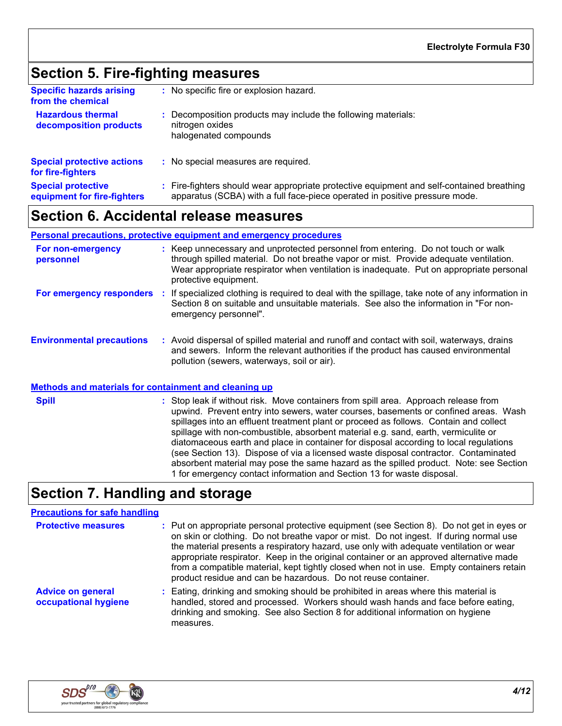# **Section 5. Fire-fighting measures**

| <b>Specific hazards arising</b><br>from the chemical     | : No specific fire or explosion hazard.                                                                                                                                  |
|----------------------------------------------------------|--------------------------------------------------------------------------------------------------------------------------------------------------------------------------|
| <b>Hazardous thermal</b><br>decomposition products       | : Decomposition products may include the following materials:<br>nitrogen oxides<br>halogenated compounds                                                                |
| <b>Special protective actions</b><br>for fire-fighters   | : No special measures are required.                                                                                                                                      |
| <b>Special protective</b><br>equipment for fire-fighters | : Fire-fighters should wear appropriate protective equipment and self-contained breathing<br>apparatus (SCBA) with a full face-piece operated in positive pressure mode. |

## **Section 6. Accidental release measures**

#### **Personal precautions, protective equipment and emergency procedures**

| For non-emergency<br>personnel   |   | : Keep unnecessary and unprotected personnel from entering. Do not touch or walk<br>through spilled material. Do not breathe vapor or mist. Provide adequate ventilation.<br>Wear appropriate respirator when ventilation is inadequate. Put on appropriate personal<br>protective equipment. |
|----------------------------------|---|-----------------------------------------------------------------------------------------------------------------------------------------------------------------------------------------------------------------------------------------------------------------------------------------------|
| For emergency responders         |   | If specialized clothing is required to deal with the spillage, take note of any information in<br>Section 8 on suitable and unsuitable materials. See also the information in "For non-<br>emergency personnel".                                                                              |
| <b>Environmental precautions</b> | ÷ | Avoid dispersal of spilled material and runoff and contact with soil, waterways, drains<br>and sewers. Inform the relevant authorities if the product has caused environmental<br>pollution (sewers, waterways, soil or air).                                                                 |

#### **Methods and materials for containment and cleaning up**

**Spill** Stop leak if without risk. Move containers from spill area. Approach release from spill upwind. Prevent entry into sewers, water courses, basements or confined areas. Wash spillages into an effluent treatment plant or proceed as follows. Contain and collect spillage with non-combustible, absorbent material e.g. sand, earth, vermiculite or diatomaceous earth and place in container for disposal according to local regulations (see Section 13). Dispose of via a licensed waste disposal contractor. Contaminated absorbent material may pose the same hazard as the spilled product. Note: see Section 1 for emergency contact information and Section 13 for waste disposal.

# **Section 7. Handling and storage**

### **Precautions for safe handling**

| <b>Protective measures</b>                       | : Put on appropriate personal protective equipment (see Section 8). Do not get in eyes or<br>on skin or clothing. Do not breathe vapor or mist. Do not ingest. If during normal use<br>the material presents a respiratory hazard, use only with adequate ventilation or wear<br>appropriate respirator. Keep in the original container or an approved alternative made<br>from a compatible material, kept tightly closed when not in use. Empty containers retain<br>product residue and can be hazardous. Do not reuse container. |
|--------------------------------------------------|--------------------------------------------------------------------------------------------------------------------------------------------------------------------------------------------------------------------------------------------------------------------------------------------------------------------------------------------------------------------------------------------------------------------------------------------------------------------------------------------------------------------------------------|
| <b>Advice on general</b><br>occupational hygiene | : Eating, drinking and smoking should be prohibited in areas where this material is<br>handled, stored and processed. Workers should wash hands and face before eating,<br>drinking and smoking. See also Section 8 for additional information on hygiene<br>measures.                                                                                                                                                                                                                                                               |

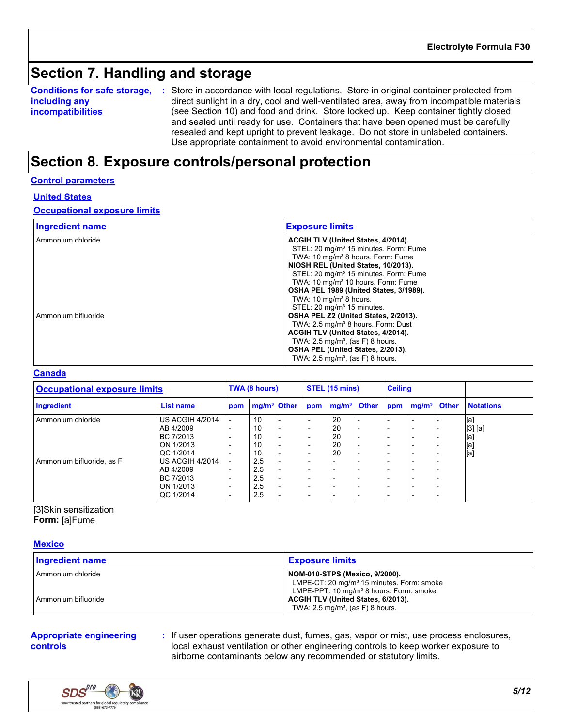# **Section 7. Handling and storage**

**Conditions for safe storage,** : Store in accordance with local regulations. Store in original container protected from **including any incompatibilities** direct sunlight in a dry, cool and well-ventilated area, away from incompatible materials (see Section 10) and food and drink. Store locked up. Keep container tightly closed and sealed until ready for use. Containers that have been opened must be carefully resealed and kept upright to prevent leakage. Do not store in unlabeled containers. Use appropriate containment to avoid environmental contamination.

## **Section 8. Exposure controls/personal protection**

#### **Control parameters**

#### **United States**

#### **Occupational exposure limits**

| <b>Ingredient name</b> | <b>Exposure limits</b>                                                                                                                                                                                                                                                                                                                                                |
|------------------------|-----------------------------------------------------------------------------------------------------------------------------------------------------------------------------------------------------------------------------------------------------------------------------------------------------------------------------------------------------------------------|
| Ammonium chloride      | ACGIH TLV (United States, 4/2014).<br>STEL: 20 mg/m <sup>3</sup> 15 minutes. Form: Fume<br>TWA: 10 mg/m <sup>3</sup> 8 hours. Form: Fume<br>NIOSH REL (United States, 10/2013).<br>STEL: 20 mg/m <sup>3</sup> 15 minutes. Form: Fume<br>TWA: 10 mg/m <sup>3</sup> 10 hours. Form: Fume<br>OSHA PEL 1989 (United States, 3/1989).<br>TWA: $10 \text{ mg/m}^3$ 8 hours. |
| Ammonium bifluoride    | STEL: 20 mg/m <sup>3</sup> 15 minutes.<br>OSHA PEL Z2 (United States, 2/2013).<br>TWA: 2.5 mg/m <sup>3</sup> 8 hours. Form: Dust<br>ACGIH TLV (United States, 4/2014).<br>TWA: $2.5 \text{ mg/m}^3$ , (as F) 8 hours.<br>OSHA PEL (United States, 2/2013).<br>TWA: $2.5 \text{ mg/m}^3$ , (as F) 8 hours.                                                             |

#### **Canada**

| <b>Occupational exposure limits</b> |                  | TWA (8 hours) |                         | STEL (15 mins) |     |                          | <b>Ceiling</b> |                          |                          |              |                  |
|-------------------------------------|------------------|---------------|-------------------------|----------------|-----|--------------------------|----------------|--------------------------|--------------------------|--------------|------------------|
| Ingredient                          | <b>List name</b> | ppm           | mg/m <sup>3</sup> Other |                | ppm | mg/m <sup>3</sup> Other  |                | ppm                      | mg/m <sup>3</sup>        | <b>Other</b> | <b>Notations</b> |
| Ammonium chloride                   | US ACGIH 4/2014  |               | 10                      |                |     | 20                       |                |                          |                          |              | [a]              |
|                                     | AB 4/2009        |               | 10                      |                |     | 20                       |                | $\overline{\phantom{0}}$ |                          |              | $[3]$ [a]        |
|                                     | BC 7/2013        |               | 10                      |                |     | 20                       |                | $\overline{\phantom{0}}$ | -                        |              | [a]              |
|                                     | ON 1/2013        |               | 10                      |                | -   | 20                       |                | $\overline{\phantom{0}}$ |                          |              |                  |
|                                     | QC 1/2014        |               | 10                      |                |     | 20                       |                | $\overline{\phantom{0}}$ |                          |              | [a]<br>[a]       |
| Ammonium bifluoride, as F           | US ACGIH 4/2014  |               | 2.5                     |                |     |                          |                |                          |                          |              |                  |
|                                     | AB 4/2009        |               | 2.5                     |                |     |                          |                | $\overline{\phantom{0}}$ | -                        |              |                  |
|                                     | BC 7/2013        |               | 2.5                     |                |     |                          |                |                          |                          |              |                  |
|                                     | ON 1/2013        |               | 2.5                     |                | -   | $\overline{\phantom{0}}$ |                | $\overline{\phantom{0}}$ | <b>1</b>                 |              |                  |
|                                     | QC 1/2014        |               | 2.5                     |                |     |                          |                | $\overline{\phantom{0}}$ | $\overline{\phantom{a}}$ |              |                  |

[3]Skin sensitization **Form:** [a]Fume

#### **Mexico**

| <b>Ingredient name</b> | <b>Exposure limits</b>                                                                                                                                |
|------------------------|-------------------------------------------------------------------------------------------------------------------------------------------------------|
| l Ammonium chloride    | <b>NOM-010-STPS (Mexico, 9/2000).</b><br>LMPE-CT: 20 mg/m <sup>3</sup> 15 minutes. Form: smoke<br>LMPE-PPT: 10 mg/m <sup>3</sup> 8 hours. Form: smoke |
| l Ammonium bifluoride  | ACGIH TLV (United States, 6/2013).<br>TWA: $2.5 \text{ mg/m}^3$ , (as F) 8 hours.                                                                     |

#### **Appropriate engineering controls**

**:** If user operations generate dust, fumes, gas, vapor or mist, use process enclosures, local exhaust ventilation or other engineering controls to keep worker exposure to airborne contaminants below any recommended or statutory limits.

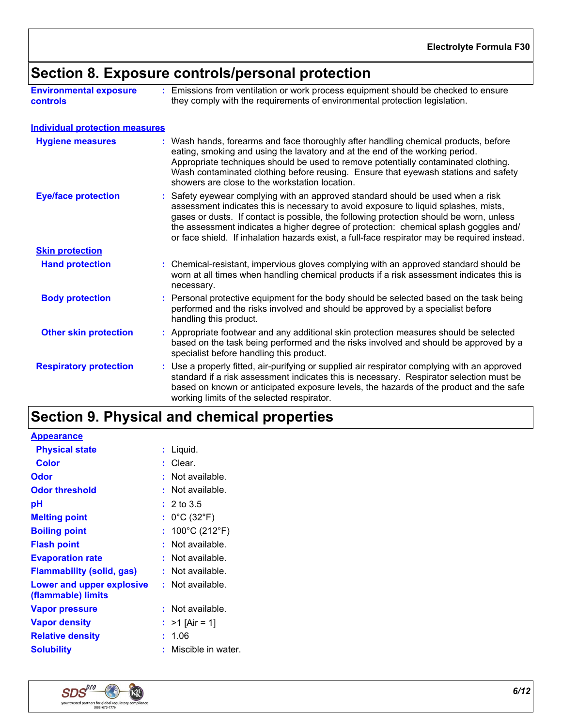# **Section 8. Exposure controls/personal protection**

| <b>Environmental exposure</b> | Emissions from ventilation or work process equipment should be checked to ensure |
|-------------------------------|----------------------------------------------------------------------------------|
| <b>controls</b>               | they comply with the requirements of environmental protection legislation.       |

| <b>Individual protection measures</b> |                                                                                                                                                                                                                                                                                                                                                                                                                                                           |
|---------------------------------------|-----------------------------------------------------------------------------------------------------------------------------------------------------------------------------------------------------------------------------------------------------------------------------------------------------------------------------------------------------------------------------------------------------------------------------------------------------------|
| <b>Hygiene measures</b>               | : Wash hands, forearms and face thoroughly after handling chemical products, before<br>eating, smoking and using the lavatory and at the end of the working period.<br>Appropriate techniques should be used to remove potentially contaminated clothing.<br>Wash contaminated clothing before reusing. Ensure that eyewash stations and safety<br>showers are close to the workstation location.                                                         |
| <b>Eye/face protection</b>            | : Safety eyewear complying with an approved standard should be used when a risk<br>assessment indicates this is necessary to avoid exposure to liquid splashes, mists,<br>gases or dusts. If contact is possible, the following protection should be worn, unless<br>the assessment indicates a higher degree of protection: chemical splash goggles and/<br>or face shield. If inhalation hazards exist, a full-face respirator may be required instead. |
| <b>Skin protection</b>                |                                                                                                                                                                                                                                                                                                                                                                                                                                                           |
| <b>Hand protection</b>                | : Chemical-resistant, impervious gloves complying with an approved standard should be<br>worn at all times when handling chemical products if a risk assessment indicates this is<br>necessary.                                                                                                                                                                                                                                                           |
| <b>Body protection</b>                | : Personal protective equipment for the body should be selected based on the task being<br>performed and the risks involved and should be approved by a specialist before<br>handling this product.                                                                                                                                                                                                                                                       |
| <b>Other skin protection</b>          | : Appropriate footwear and any additional skin protection measures should be selected<br>based on the task being performed and the risks involved and should be approved by a<br>specialist before handling this product.                                                                                                                                                                                                                                 |
| <b>Respiratory protection</b>         | : Use a properly fitted, air-purifying or supplied air respirator complying with an approved<br>standard if a risk assessment indicates this is necessary. Respirator selection must be<br>based on known or anticipated exposure levels, the hazards of the product and the safe<br>working limits of the selected respirator.                                                                                                                           |

# **Section 9. Physical and chemical properties**

| : Liquid.                            |
|--------------------------------------|
|                                      |
| Not available.                       |
| Not available.                       |
| $: 2 \text{ to } 3.5$                |
| : $0^{\circ}$ C (32 $^{\circ}$ F)    |
| : $100^{\circ}$ C (212 $^{\circ}$ F) |
| Not available.                       |
| Not available.                       |
| $:$ Not available.                   |
| $:$ Not available.                   |
| $:$ Not available.                   |
| $>1$ [Air = 1]                       |
|                                      |
| Miscible in water.                   |
|                                      |

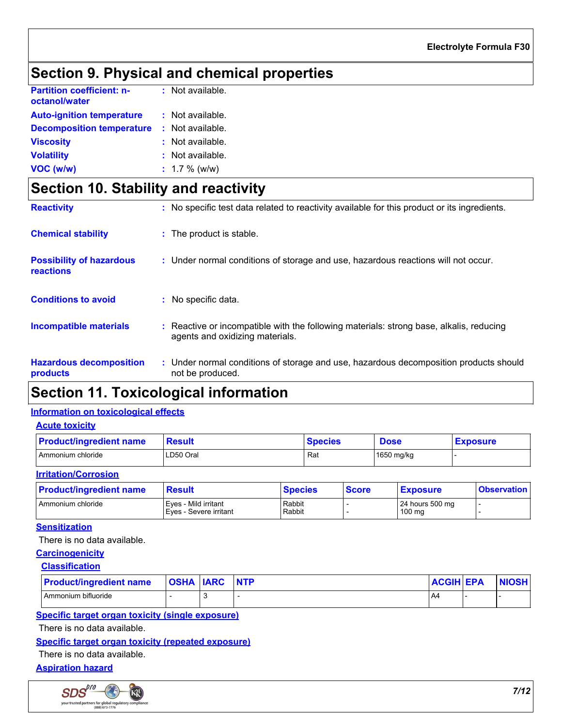# **Section 9. Physical and chemical properties**

| <b>Partition coefficient: n-</b><br>octanol/water | : Not available. |
|---------------------------------------------------|------------------|
| <b>Auto-ignition temperature</b>                  | : Not available. |
| <b>Decomposition temperature</b>                  | : Not available. |
| <b>Viscosity</b>                                  | : Not available. |
| <b>Volatility</b>                                 | : Not available. |
| VOC (w/w)                                         | $: 1.7 \%$ (w/w) |

# **Section 10. Stability and reactivity**

| <b>Reactivity</b>                            | : No specific test data related to reactivity available for this product or its ingredients.                               |
|----------------------------------------------|----------------------------------------------------------------------------------------------------------------------------|
| <b>Chemical stability</b>                    | : The product is stable.                                                                                                   |
| <b>Possibility of hazardous</b><br>reactions | : Under normal conditions of storage and use, hazardous reactions will not occur.                                          |
| <b>Conditions to avoid</b>                   | : No specific data.                                                                                                        |
| <b>Incompatible materials</b>                | : Reactive or incompatible with the following materials: strong base, alkalis, reducing<br>agents and oxidizing materials. |
| <b>Hazardous decomposition</b><br>products   | : Under normal conditions of storage and use, hazardous decomposition products should<br>not be produced.                  |

## **Section 11. Toxicological information**

### **Information on toxicological effects**

| <b>Acute toxicity</b>          |               |                |              |                 |
|--------------------------------|---------------|----------------|--------------|-----------------|
| <b>Product/ingredient name</b> | <b>Result</b> | <b>Species</b> | <b>Dose</b>  | <b>Exposure</b> |
| Ammonium chloride              | LD50 Oral     | Rat            | $1650$ mg/kg |                 |
| <b>Irritation/Corrosion</b>    |               |                |              |                 |

| <b>Product/ingredient name</b> | <b>Result</b>                                  | <b>Species</b>   | <b>Score</b> | <b>Exposure</b>           | <b>Observation</b> |
|--------------------------------|------------------------------------------------|------------------|--------------|---------------------------|--------------------|
| Ammonium chloride              | Eves - Mild irritant<br>Eyes - Severe irritant | Rabbit<br>Rabbit |              | 24 hours 500 mg<br>100 mg |                    |

### **Sensitization**

There is no data available.

### **Carcinogenicity**

| <b>Classification</b> |
|-----------------------|
|-----------------------|

| <b>Product/ingredient name</b> | <b>OSHA IARC</b> | <b>NTP</b> | <b>ACGIH EPA</b> | <b>NIOSH</b> |
|--------------------------------|------------------|------------|------------------|--------------|
| Ammonium bifluoride            |                  |            | <b>A4</b>        |              |

### **Specific target organ toxicity (single exposure)**

There is no data available.

### **Specific target organ toxicity (repeated exposure)**

There is no data available.

### **Aspiration hazard**

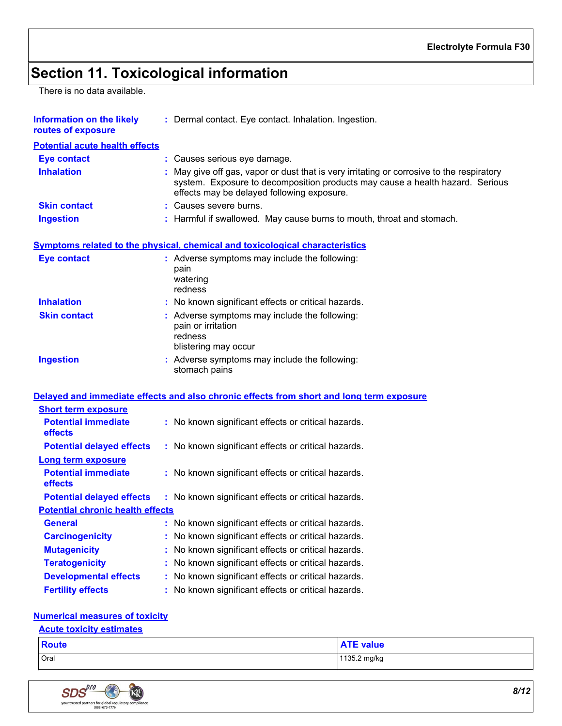# **Section 11. Toxicological information**

There is no data available.

| <b>Information on the likely</b><br>routes of exposure | : Dermal contact. Eye contact. Inhalation. Ingestion.                                                                                                                                                                    |
|--------------------------------------------------------|--------------------------------------------------------------------------------------------------------------------------------------------------------------------------------------------------------------------------|
| <b>Potential acute health effects</b>                  |                                                                                                                                                                                                                          |
| <b>Eye contact</b>                                     | : Causes serious eye damage.                                                                                                                                                                                             |
| <b>Inhalation</b>                                      | : May give off gas, vapor or dust that is very irritating or corrosive to the respiratory<br>system. Exposure to decomposition products may cause a health hazard. Serious<br>effects may be delayed following exposure. |
| <b>Skin contact</b>                                    | : Causes severe burns.                                                                                                                                                                                                   |
| <b>Ingestion</b>                                       | : Harmful if swallowed. May cause burns to mouth, throat and stomach.                                                                                                                                                    |
|                                                        | Symptoms related to the physical, chemical and toxicological characteristics                                                                                                                                             |
| <b>Eye contact</b>                                     | : Adverse symptoms may include the following:<br>pain<br>watering<br>redness                                                                                                                                             |
| <b>Inhalation</b>                                      | : No known significant effects or critical hazards.                                                                                                                                                                      |
| <b>Skin contact</b>                                    | : Adverse symptoms may include the following:<br>pain or irritation<br>redness<br>blistering may occur                                                                                                                   |
| <b>Ingestion</b>                                       | : Adverse symptoms may include the following:<br>stomach pains                                                                                                                                                           |
|                                                        | Delayed and immediate effects and also chronic effects from short and long term exposure                                                                                                                                 |
| <b>Short term exposure</b>                             |                                                                                                                                                                                                                          |
| <b>Potential immediate</b><br>effects                  | : No known significant effects or critical hazards.                                                                                                                                                                      |
| <b>Potential delayed effects</b>                       | : No known significant effects or critical hazards.                                                                                                                                                                      |
| <b>Long term exposure</b>                              |                                                                                                                                                                                                                          |
| <b>Potential immediate</b><br>effects                  | : No known significant effects or critical hazards.                                                                                                                                                                      |
| <b>Potential delayed effects</b>                       | : No known significant effects or critical hazards.                                                                                                                                                                      |
| <b>Potential chronic health effects</b>                |                                                                                                                                                                                                                          |
| <b>General</b>                                         | No known significant effects or critical hazards.                                                                                                                                                                        |
| <b>Carcinogenicity</b>                                 | : No known significant effects or critical hazards.                                                                                                                                                                      |
| <b>Mutagenicity</b>                                    | No known significant effects or critical hazards.                                                                                                                                                                        |
| <b>Teratogenicity</b>                                  | No known significant effects or critical hazards.                                                                                                                                                                        |
|                                                        |                                                                                                                                                                                                                          |
| <b>Developmental effects</b>                           | No known significant effects or critical hazards.                                                                                                                                                                        |

### **Numerical measures of toxicity**

### **Acute toxicity estimates**

| <b>Route</b> | <b>ATE value</b> |
|--------------|------------------|
| Oral         | 1135.2 mg/kg     |

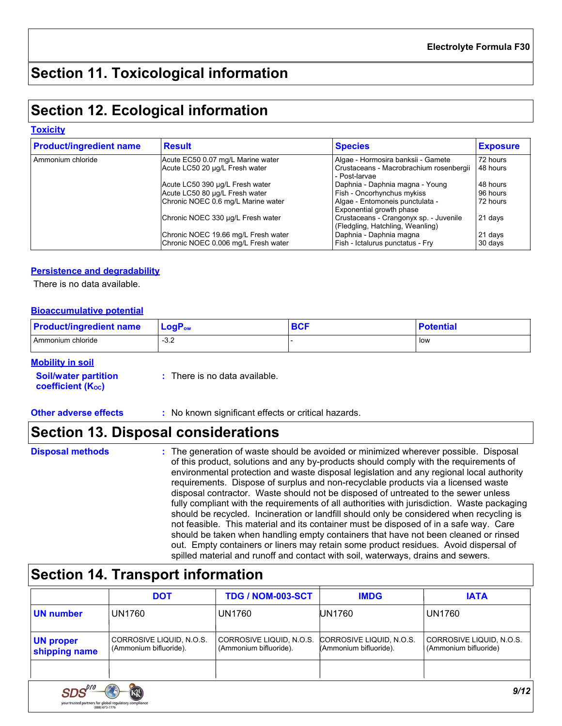# **Section 11. Toxicological information**

# **Section 12. Ecological information**

#### **Toxicity**

| <b>Product/ingredient name</b> | <b>Result</b>                       | <b>Species</b>                                                             | <b>Exposure</b> |
|--------------------------------|-------------------------------------|----------------------------------------------------------------------------|-----------------|
| Ammonium chloride              | Acute EC50 0.07 mg/L Marine water   | Algae - Hormosira banksii - Gamete                                         | 72 hours        |
|                                | Acute LC50 20 µg/L Fresh water      | Crustaceans - Macrobrachium rosenbergii<br>- Post-larvae                   | 148 hours       |
|                                | Acute LC50 390 µg/L Fresh water     | Daphnia - Daphnia magna - Young                                            | 48 hours        |
|                                | Acute LC50 80 µg/L Fresh water      | Fish - Oncorhynchus mykiss                                                 | 96 hours        |
|                                | Chronic NOEC 0.6 mg/L Marine water  | Algae - Entomoneis punctulata -<br>Exponential growth phase                | 72 hours        |
|                                | Chronic NOEC 330 µq/L Fresh water   | Crustaceans - Crangonyx sp. - Juvenile<br>(Fledgling, Hatchling, Weanling) | 21 days         |
|                                | Chronic NOEC 19.66 mg/L Fresh water | Daphnia - Daphnia magna                                                    | 21 days         |
|                                | Chronic NOEC 0.006 mg/L Fresh water | Fish - Ictalurus punctatus - Fry                                           | 30 days         |

### **Persistence and degradability**

There is no data available.

#### **Bioaccumulative potential**

| <b>Product/ingredient name</b> | $LogP_{ow}$ | ov. | <b>Potential</b> |
|--------------------------------|-------------|-----|------------------|
| Ammonium chloride              | $-3.2$      |     | low              |

### **Mobility in soil**

| <b>Soil/water partition</b> | : There is no data available. |
|-----------------------------|-------------------------------|
| <b>coefficient (Koc)</b>    |                               |

**Other adverse effects** : No known significant effects or critical hazards.

## **Section 13. Disposal considerations**

- **Disposal methods :**
- The generation of waste should be avoided or minimized wherever possible. Disposal of this product, solutions and any by-products should comply with the requirements of environmental protection and waste disposal legislation and any regional local authority requirements. Dispose of surplus and non-recyclable products via a licensed waste disposal contractor. Waste should not be disposed of untreated to the sewer unless fully compliant with the requirements of all authorities with jurisdiction. Waste packaging should be recycled. Incineration or landfill should only be considered when recycling is not feasible. This material and its container must be disposed of in a safe way. Care should be taken when handling empty containers that have not been cleaned or rinsed out. Empty containers or liners may retain some product residues. Avoid dispersal of spilled material and runoff and contact with soil, waterways, drains and sewers.

## **Section 14. Transport information**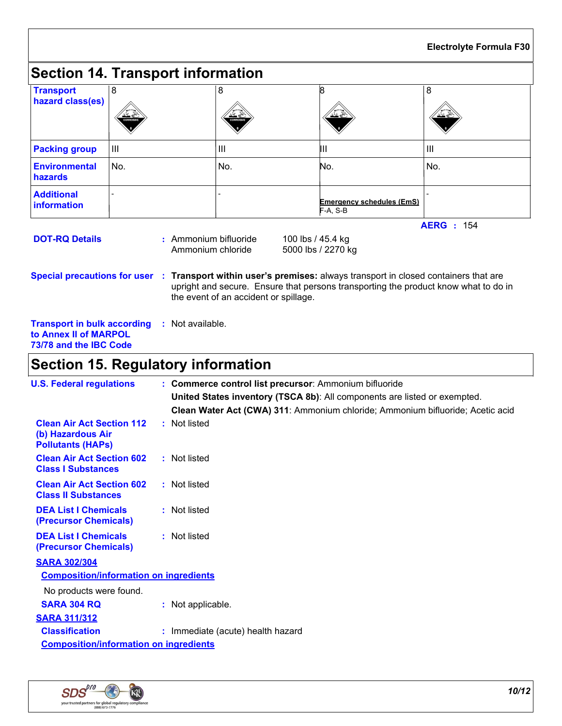|                                                                                       |     |                                            |                                       |                                                        | <b>Electrolyte Formula F30</b>                                                                                                                                                                                              |  |
|---------------------------------------------------------------------------------------|-----|--------------------------------------------|---------------------------------------|--------------------------------------------------------|-----------------------------------------------------------------------------------------------------------------------------------------------------------------------------------------------------------------------------|--|
| <b>Section 14. Transport information</b>                                              |     |                                            |                                       |                                                        |                                                                                                                                                                                                                             |  |
| <b>Transport</b><br>hazard class(es)                                                  | 8   |                                            | 8                                     | 8                                                      | 8                                                                                                                                                                                                                           |  |
| <b>Packing group</b>                                                                  | III |                                            | III                                   | Ш                                                      | III                                                                                                                                                                                                                         |  |
| <b>Environmental</b><br>hazards                                                       | No. |                                            | No.                                   | No.                                                    | No.                                                                                                                                                                                                                         |  |
| <b>Additional</b><br><b>information</b>                                               |     |                                            |                                       | Emergency schedules (EmS)<br>$F-A, S-B$                |                                                                                                                                                                                                                             |  |
| <b>DOT-RQ Details</b>                                                                 |     | : Ammonium bifluoride<br>Ammonium chloride | the event of an accident or spillage. | 100 lbs / 45.4 kg<br>5000 lbs / 2270 kg                | <b>AERG</b> : 154<br>Special precautions for user : Transport within user's premises: always transport in closed containers that are<br>upright and secure. Ensure that persons transporting the product know what to do in |  |
| <b>Transport in bulk according</b><br>to Annex II of MARPOL<br>73/78 and the IBC Code |     | : Not available.                           |                                       |                                                        |                                                                                                                                                                                                                             |  |
| <b>Section 15. Regulatory information</b>                                             |     |                                            |                                       |                                                        |                                                                                                                                                                                                                             |  |
| <b>U.S. Federal regulations</b>                                                       |     |                                            |                                       | : Commerce control list precursor: Ammonium bifluoride | United States inventory (TSCA 8b): All components are listed or exempted.<br>Clean Water Act (CWA) 311: Ammonium chloride; Ammonium bifluoride; Acetic acid                                                                 |  |
| <b>Clean Air Act Section 112</b><br>(b) Hazardous Air                                 |     | : Not listed                               |                                       |                                                        |                                                                                                                                                                                                                             |  |

| <b>U.S. Federal regulations</b>                                                   | : Commerce control list precursor: Ammonium bifluoride                         |
|-----------------------------------------------------------------------------------|--------------------------------------------------------------------------------|
|                                                                                   | United States inventory (TSCA 8b): All components are listed or exempted.      |
|                                                                                   | Clean Water Act (CWA) 311: Ammonium chloride; Ammonium bifluoride; Acetic acid |
| <b>Clean Air Act Section 112</b><br>(b) Hazardous Air<br><b>Pollutants (HAPS)</b> | : Not listed                                                                   |
| <b>Clean Air Act Section 602</b><br><b>Class I Substances</b>                     | : Not listed                                                                   |
| <b>Clean Air Act Section 602</b><br><b>Class II Substances</b>                    | : Not listed                                                                   |
| <b>DEA List I Chemicals</b><br>(Precursor Chemicals)                              | : Not listed                                                                   |
| <b>DEA List I Chemicals</b><br>(Precursor Chemicals)                              | : Not listed                                                                   |
| <b>SARA 302/304</b>                                                               |                                                                                |
| <b>Composition/information on ingredients</b>                                     |                                                                                |
| No products were found.<br><b>SARA 304 RQ</b>                                     | : Not applicable.                                                              |
| <b>SARA 311/312</b>                                                               |                                                                                |
| <b>Classification</b>                                                             | : Immediate (acute) health hazard                                              |
| <b>Composition/information on ingredients</b>                                     |                                                                                |
|                                                                                   |                                                                                |



Г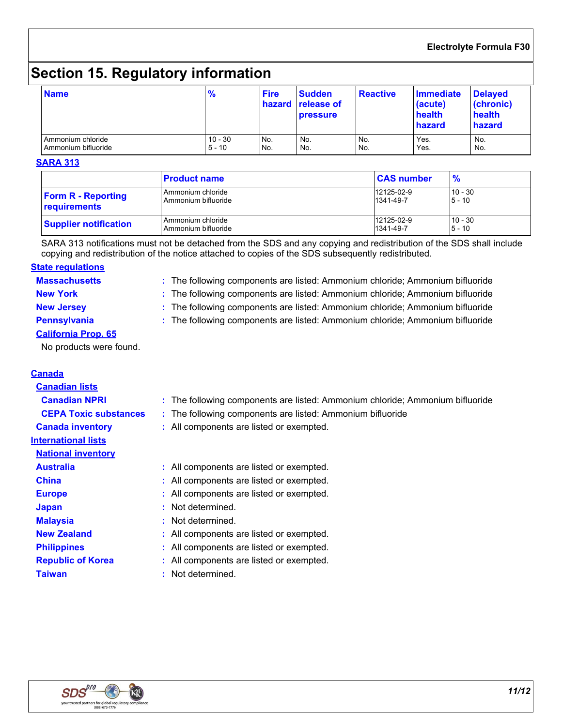### **Electrolyte Formula F30**

# **Section 15. Regulatory information**

| <b>Name</b>         | $\frac{9}{6}$ | <b>Fire</b> | <b>Sudden</b><br>hazard release of<br><b>pressure</b> | <b>Reactive</b> | <b>Immediate</b><br>(acute)<br>health<br>hazard | <b>Delayed</b><br>(chronic)<br>health<br>hazard |
|---------------------|---------------|-------------|-------------------------------------------------------|-----------------|-------------------------------------------------|-------------------------------------------------|
| Ammonium chloride   | $10 - 30$     | No.         | No.                                                   | No.             | Yes.                                            | No.                                             |
| Ammonium bifluoride | $5 - 10$      | No.         | No.                                                   | No.             | Yes.                                            | No.                                             |

#### **SARA 313**

|                              | <b>Product name</b> | <b>CAS number</b> | $\frac{9}{6}$ |
|------------------------------|---------------------|-------------------|---------------|
| <b>Form R - Reporting</b>    | Ammonium chloride   | 12125-02-9        | $10 - 30$     |
| <b>requirements</b>          | Ammonium bifluoride | 1341-49-7         | $5 - 10$      |
| <b>Supplier notification</b> | Ammonium chloride   | 12125-02-9        | $10 - 30$     |
|                              | Ammonium bifluoride | 1341-49-7         | $5 - 10$      |

SARA 313 notifications must not be detached from the SDS and any copying and redistribution of the SDS shall include copying and redistribution of the notice attached to copies of the SDS subsequently redistributed.

#### **Massachusetts : State regulations**

The following components are listed: Ammonium chloride; Ammonium bifluoride

- **New York :** The following components are listed: Ammonium chloride; Ammonium bifluoride
- 
- **New Jersey :** The following components are listed: Ammonium chloride; Ammonium bifluoride
- **Pennsylvania :** The following components are listed: Ammonium chloride; Ammonium bifluoride
- **California Prop. 65**

No products were found.

### **Canada**

| <b>Canadian lists</b>        |                                                                               |
|------------------------------|-------------------------------------------------------------------------------|
| <b>Canadian NPRI</b>         | : The following components are listed: Ammonium chloride; Ammonium bifluoride |
| <b>CEPA Toxic substances</b> | : The following components are listed: Ammonium bifluoride                    |
| <b>Canada inventory</b>      | : All components are listed or exempted.                                      |
| <b>International lists</b>   |                                                                               |
| <b>National inventory</b>    |                                                                               |
| <b>Australia</b>             | : All components are listed or exempted.                                      |
| <b>China</b>                 | : All components are listed or exempted.                                      |
| <b>Europe</b>                | : All components are listed or exempted.                                      |
| <b>Japan</b>                 | : Not determined.                                                             |
| <b>Malaysia</b>              | : Not determined.                                                             |
| <b>New Zealand</b>           | : All components are listed or exempted.                                      |
| <b>Philippines</b>           | : All components are listed or exempted.                                      |
| <b>Republic of Korea</b>     | : All components are listed or exempted.                                      |
| <b>Taiwan</b>                | Not determined.                                                               |
|                              |                                                                               |